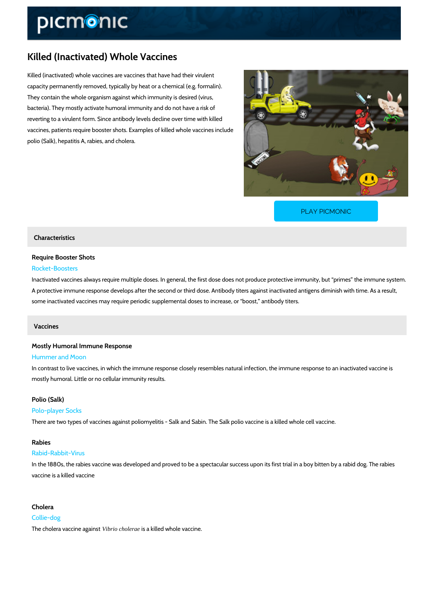# Killed (Inactivated) Whole Vaccines

Killed (inactivated) whole vaccines are vaccines that have had their virulent capacity permanently removed, typically by heat or a chemical (e.g. formalin). They contain the whole organism against which immunity is desired (virus, bacteria). They mostly activate humoral immunity and do not have a risk of reverting to a virulent form. Since antibody levels decline over time with killed vaccines, patients require booster shots. Examples of killed whole vaccines include polio (Salk), hepatitis A, rabies, and cholera.

[PLAY PICMONIC](https://www.picmonic.com/learn/killed-vaccines_50021?utm_source=downloadable_content&utm_medium=distributedcontent&utm_campaign=pathways_pdf&utm_content=Killed (Inactivated) Whole Vaccines&utm_ad_group=leads&utm_market=all)

### Characteristics

Require Booster Shots Rocket-Boosters

Inactivated vaccines always require multiple doses. In general, the first dose does not produc A protective immune response develops after the second or third dose. Antibody titers against some inactivated vaccines may require periodic supplemental doses to increase, or boost, and

## Vaccines

Mostly Humoral Immune Response Hummer and Moon

In contrast to live vaccines, in which the immune response closely resembles natural infection mostly humoral. Little or no cellular immunity results.

# Polio (Salk)

#### Polo-player Socks

There are two types of vaccines against poliomyelitis - Salk and Sabin. The Salk polio vaccine

### Rabies

#### Rabid-Rabbit-Virus

In the 1880s, the rabies vaccine was developed and proved to be a spectacular success upon vaccine is a killed vaccine

# Cholera Collie-dog The cholera vac o *librio* choloration is a killed whole vaccine.